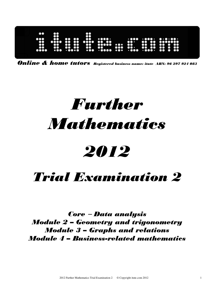

Online & home tutors Registered business name: itute ABN: 96 297 924 083

# Further Mathematics

## 2012

### Trial Examination 2

Core − Data analysis Module 2 – Geometry and trigonometry Module 3 – Graphs and relations Module 4 – Business-related mathematics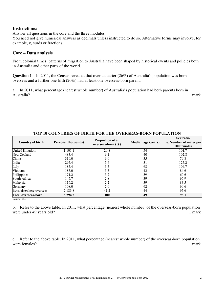#### **Instructions:**

Answer all questions in the core and the three modules.

You need not give numerical answers as decimals unless instructed to do so. Alternative forms may involve, for example,  $\pi$ , surds or fractions.

#### **Core – Data analysis**

From colonial times, patterns of migration to Australia have been shaped by historical events and policies both in Australia and other parts of the world.

**Question 1** In 2011, the Census revealed that over a quarter (26%) of Australia's population was born overseas and a further one fifth (20%) had at least one overseas-born parent.

a. In 2011, what percentage (nearest whole number) of Australia's population had both parents born in Australia? 1 mark

| <b>Country of birth</b>    | Persons (thousands) | <b>Proportion of all</b><br>overseas-born $(\% )$ | <b>Median age (years)</b> | Sex ratio<br>i.e. Number of males per<br>100 females |
|----------------------------|---------------------|---------------------------------------------------|---------------------------|------------------------------------------------------|
| United Kingdom             | 1 101.1             | 20.8                                              | 54                        | 101.7                                                |
| New Zealand                | 483.4               | 9.1                                               | 40                        | 102.8                                                |
| China                      | 319.0               | 6.0                                               | 35                        | 79.8                                                 |
| India                      | 295.4               | 5.6                                               | 31                        | 125.2                                                |
| Italy                      | 185.4               | 3.5                                               | 68                        | 104.7                                                |
| Vietnam                    | 185.0               | 3.5                                               | 43                        | 84.6                                                 |
| Philippines                | 171.2               | 3.2                                               | 39                        | 60.6                                                 |
| South Africa               | 145.7               | 2.8                                               | 39                        | 96.9                                                 |
| Malaysia                   | 116.2               | 2.2                                               | 39                        | 83.5                                                 |
| Germany                    | 108.0               | 2.0                                               | 62                        | 90.6                                                 |
| Born elsewhere overseas    | 2 1 8 3 . 8         | 41.2                                              | 44                        | 95.6                                                 |
| <b>Total overseas-born</b> | 5 294.2             | <b>100</b>                                        | 49                        | 96.1                                                 |

#### **TOP 10 COUNTRIES OF BIRTH FOR THE OVERSEAS-BORN POPULATION**

Source: abs

b. Refer to the above table. In 2011, what percentage (nearest whole number) of the overseas-born population were under 49 years old? 1 mark

c.Refer to the above table. In 2011, what percentage (nearest whole number) of the overseas-born population were females? 1 mark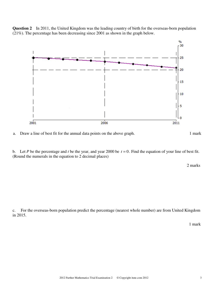

**Question 2** In 2011, the United Kingdom was the leading country of birth for the overseas-born population (21%). The percentage has been decreasing since 2001 as shown in the graph below.

a. Draw a line of best fit for the annual data points on the above graph. 1 mark

b. Let *P* be the percentage and *t* be the year, and year 2000 be  $t = 0$ . Find the equation of your line of best fit. (Round the numerals in the equation to 2 decimal places)

2 marks

c. For the overseas-born population predict the percentage (nearest whole number) are from United Kingdom in 2015.

1 mark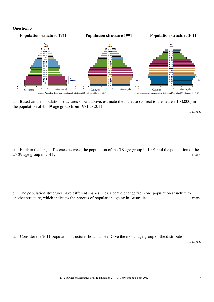#### **Question 3**



a. Based on the population structures shown above, estimate the increase (correct to the nearest 100,000) in the population of 45-49 age group from 1971 to 2011.

1 mark

b. Explain the large difference between the population of the 5-9 age group in 1991 and the population of the 25-29 age group in 2011. 1 mark

c. The population structures have different shapes. Describe the change from one population structure to another structure, which indicates the process of population ageing in Australia. 1 mark

d. Consider the 2011 population structure shown above. Give the modal age group of the distribution.

1 mark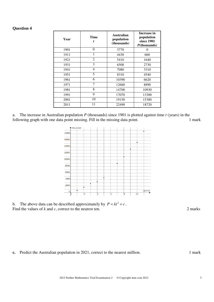#### **Question 4**

| Year | <b>Time</b><br>t | <b>Australian</b><br>population<br>(thousands) | <b>Increase in</b><br>population<br>since 1901<br>$P$ (thousands) |
|------|------------------|------------------------------------------------|-------------------------------------------------------------------|
| 1901 | $\theta$         | 3770                                           | 0                                                                 |
| 1911 | 1                | 4430                                           | 660                                                               |
| 1921 | $\overline{2}$   | 5410                                           | 1640                                                              |
| 1931 | 3                | 6500                                           | 2730                                                              |
| 1941 | $\overline{4}$   | 7080                                           | 3310                                                              |
| 1951 | 5                | 8310                                           | 4540                                                              |
| 1961 | 6                | 10390                                          | 6620                                                              |
| 1971 | 7                | 12660                                          | 8890                                                              |
| 1981 | 8                | 14700                                          | 10930                                                             |
| 1991 | 9                | 17070                                          | 13300                                                             |
| 2001 | 10               | 19150                                          | 15380                                                             |
| 2011 | 11               | 22490                                          | 18720                                                             |

a. The increase in Australian population *P* (thousands) since 1901 is plotted against time *t* (years) in the following graph with one data point missing. Fill in the missing data point. 1 mark



b. The above data can be described approximately by  $P = kt^2 + c$ . Find the values of *k* and *c*, correct to the nearest ten. 2 marks

**c.** Predict the Australian population in 2021, correct to the nearest million. 1 mark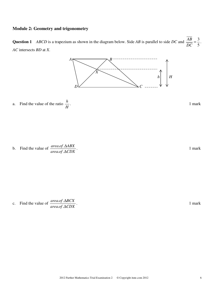#### **Module 2: Geometry and trigonometry**

**Question 1** *ABCD* is a trapezium as shown in the diagram below. Side *AB* is parallel to side *DC* and 5  $=$  $\frac{3}{2}$ *DC*  $rac{AB}{\sqrt{BC}} = \frac{3}{2}$ . *AC* intersects *BD* at *X*.





. **1 mark** 

b. Find the value of *area of CDX area of ABX* ∆ ∆  $. of.$  $. of.$ 

. **1 mark** 

c. Find the value of *area of CDX area of BCX* ∆ ∆  $. of.$  $. of.$ 

. **1 mark**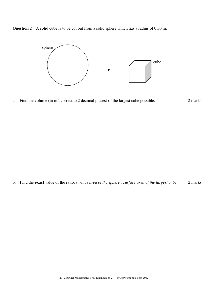**Question 2** A solid cube is to be cut out from a solid sphere which has a radius of 0.50 m.



a. Find the volume (in  $m<sup>3</sup>$ , correct to 2 decimal places) of the largest cube possible. 2 marks

b. Find the **exact** value of the ratio, *surface area of the sphere : surface area of the largest cube*. 2 marks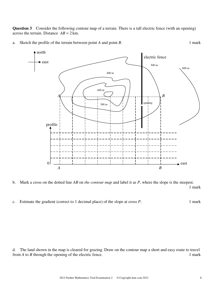**Question 3** Consider the following contour map of a terrain. There is a tall electric fence (with an opening) across the terrain. Distance  $AB = 2$  km.

a. Sketch the profile of the terrain between point *A* and point *B*. 1 mark



b. Mark a cross on the dotted line *AB* on *the contour map* and label it as *P*, where the slope is the steepest. 1 mark

c. Estimate the gradient (correct to 1 decimal place) of the slope at cross *P*. 1 mark

d. The land shown in the map is cleared for grazing. Draw on the contour map a short and easy route to travel from *A* to *B* through the opening of the electric fence. 1 mark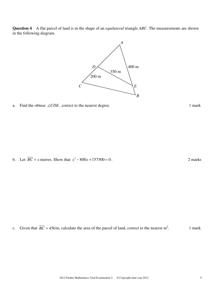



a. Find the obtuse  $\angle CDE$ , correct to the nearest degree. 1 mark

b. Let  $\overline{BC} = x$  metres. Show that  $x^2 - 800x + 157500 = 0$ . 2 marks

c. Given that  $\overline{BC} = 450$  m, calculate the area of the parcel of land, correct to the nearest m<sup>2</sup>. . 1 mark

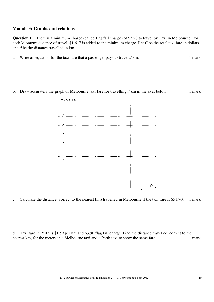#### **Module 3: Graphs and relations**

**Question 1** There is a minimum charge (called flag fall charge) of \$3.20 to travel by Taxi in Melbourne. For each kilometre distance of travel, \$1.617 is added to the minimum charge. Let *C* be the total taxi fare in dollars and *d* be the distance travelled in km.

- a. Write an equation for the taxi fare that a passenger pays to travel  $d$  km. 1 mark
- b. Draw accurately the graph of Melbourne taxi fare for travelling  $d$  km in the axes below. 1 mark



c. Calculate the distance (correct to the nearest km) travelled in Melbourne if the taxi fare is \$51.70. 1 mark

d. Taxi fare in Perth is \$1.59 per km and \$3.90 flag fall charge. Find the distance travelled, correct to the nearest km, for the meters in a Melbourne taxi and a Perth taxi to show the same fare. 1 mark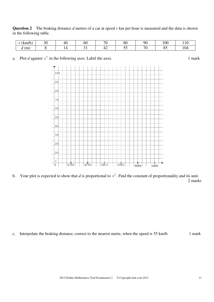**Question 2** The braking distance *d* metres of a car at speed *v* km per hour is measured and the data is shown in the following table.

| $\mathbf{H}$<br>$1 - \lambda$<br>' KIII/II , | ററ<br>J١ | -40 | OU | $\sim$ | $\Omega$<br>οU | Q()                      | 100                                |  |
|----------------------------------------------|----------|-----|----|--------|----------------|--------------------------|------------------------------------|--|
| (m)<br>$\bm{u}$                              |          |     |    | . .    | - -            | $\overline{\phantom{a}}$ | $\Omega$<br>$\mathsf{U}\mathsf{L}$ |  |

a. Plot *d* against  $v^2$  in the following axes. Label the axes. 1 mark



b. Your plot is expected to show that *d* is proportional to  $v^2$ . Find the constant of proportionality and its unit. 2 marks

c. Interpolate the braking distance, correct to the nearest metre, when the speed is 55 km/h. 1 mark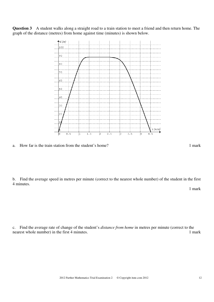**Question 3** A student walks along a straight road to a train station to meet a friend and then return home. The graph of the distance (metres) from home against time (minutes) is shown below.



a. How far is the train station from the student's home? 1 mark

b. Find the average speed in metres per minute (correct to the nearest whole number) of the student in the first 4 minutes.

1 mark

c. Find the average rate of change of the student's *distance from home* in metres per minute (correct to the nearest whole number) in the first 4 minutes. 1 mark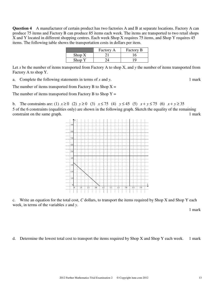**Question 4** A manufacturer of certain product has two factories A and B at separate locations. Factory A can produce 75 items and Factory B can produce 85 items each week. The items are transported to two retail shops X and Y located in different shopping centres. Each week Shop X requires 75 items, and Shop Y requires 45 items. The following table shows the transportation costs in dollars per item.

|                         | Factory A | Factory B |
|-------------------------|-----------|-----------|
| $\operatorname{Shop} X$ |           |           |
| Shop Y                  |           |           |

Let *x* be the number of items transported from Factory A to shop X, and *y* the number of items transported from Factory A to shop Y.

a. Complete the following statements in terms of *x* and *y*. 1 mark

The number of items transported from Factory B to Shop  $X =$ 

The number of items transported from Factory B to Shop  $Y =$ 

b. The constraints are: (1)  $x \ge 0$  (2)  $y \ge 0$  (3)  $x \le 75$  (4)  $y \le 45$  (5)  $x + y \le 75$  (6)  $x + y \ge 35$ 5 of the 6 constraints (equalities only) are shown in the following graph. Sketch the equality of the remaining constraint on the same graph. 1 mark



c. Write an equation for the total cost, *C* dollars, to transport the items required by Shop X and Shop Y each week, in terms of the variables *x* and *y*.

1 mark

d. Determine the lowest total cost to transport the items required by Shop X and Shop Y each week. 1 mark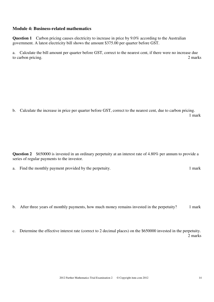#### **Module 4: Business-related mathematics**

**Question 1** Carbon pricing causes electricity to increase in price by 9.0% according to the Australian government. A latest electricity bill shows the amount \$375.00 per quarter before GST.

a. Calculate the bill amount per quarter before GST, correct to the nearest cent, if there were no increase due to carbon pricing. 2 marks 2 marks

b. Calculate the increase in price per quarter before GST, correct to the nearest cent, due to carbon pricing. 1 mark

**Question 2** \$650000 is invested in an ordinary perpetuity at an interest rate of 4.80% per annum to provide a series of regular payments to the investor.

a. Find the monthly payment provided by the perpetuity. 1 mark

b. After three years of monthly payments, how much money remains invested in the perpetuity? 1 mark

c. Determine the effective interest rate (correct to 2 decimal places) on the \$650000 invested in the perpetuity. 2 marks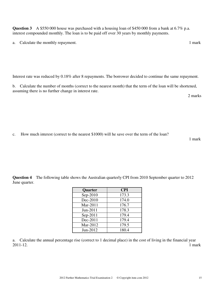**Question 3** A \$550 000 house was purchased with a housing loan of \$450 000 from a bank at 6.7% p.a. interest compounded monthly. The loan is to be paid off over 30 years by monthly payments.

a. Calculate the monthly repayment. 1 mark

Interest rate was reduced by 0.18% after 8 repayments. The borrower decided to continue the same repayment.

b. Calculate the number of months (correct to the nearest month) that the term of the loan will be shortened, assuming there is no further change in interest rate.

2 marks

c. How much interest (correct to the nearest \$1000) will he save over the term of the loan?

1 mark

**Question 4** The following table shows the Australian quarterly CPI from 2010 September quarter to 2012 June quarter.

| <b>Quarter</b> | <b>CPI</b> |
|----------------|------------|
| Sep-2010       | 173.3      |
| Dec-2010       | 174.0      |
| Mar-2011       | 176.7      |
| Jun-2011       | 178.3      |
| Sep-2011       | 179.4      |
| Dec-2011       | 179.4      |
| Mar-2012       | 179.5      |
| $Jun-2012$     | 180.4      |

a. Calculate the annual percentage rise (correct to 1 decimal place) in the cost of living in the financial year 2011-12. 1 mark